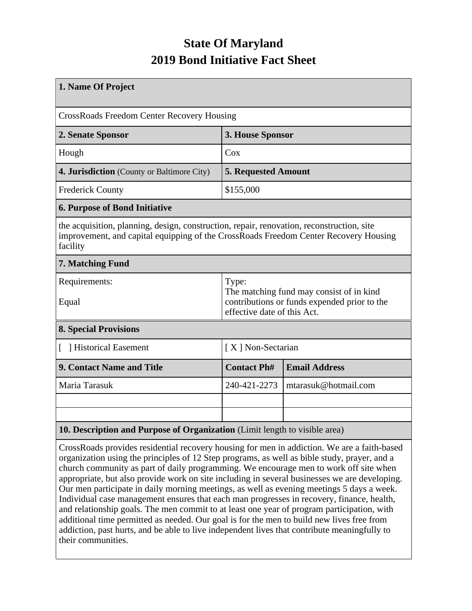## **State Of Maryland 2019 Bond Initiative Fact Sheet**

| 1. Name Of Project                                                                                                                                                                                                                                                                                                                                                               |                                                                                                                                  |                      |  |  |  |  |
|----------------------------------------------------------------------------------------------------------------------------------------------------------------------------------------------------------------------------------------------------------------------------------------------------------------------------------------------------------------------------------|----------------------------------------------------------------------------------------------------------------------------------|----------------------|--|--|--|--|
| <b>CrossRoads Freedom Center Recovery Housing</b>                                                                                                                                                                                                                                                                                                                                |                                                                                                                                  |                      |  |  |  |  |
| 2. Senate Sponsor                                                                                                                                                                                                                                                                                                                                                                | 3. House Sponsor                                                                                                                 |                      |  |  |  |  |
| Hough                                                                                                                                                                                                                                                                                                                                                                            | Cox                                                                                                                              |                      |  |  |  |  |
| 4. Jurisdiction (County or Baltimore City)                                                                                                                                                                                                                                                                                                                                       | <b>5. Requested Amount</b>                                                                                                       |                      |  |  |  |  |
| <b>Frederick County</b>                                                                                                                                                                                                                                                                                                                                                          | \$155,000                                                                                                                        |                      |  |  |  |  |
| <b>6. Purpose of Bond Initiative</b>                                                                                                                                                                                                                                                                                                                                             |                                                                                                                                  |                      |  |  |  |  |
| the acquisition, planning, design, construction, repair, renovation, reconstruction, site<br>improvement, and capital equipping of the CrossRoads Freedom Center Recovery Housing<br>facility                                                                                                                                                                                    |                                                                                                                                  |                      |  |  |  |  |
| 7. Matching Fund                                                                                                                                                                                                                                                                                                                                                                 |                                                                                                                                  |                      |  |  |  |  |
| Requirements:<br>Equal                                                                                                                                                                                                                                                                                                                                                           | Type:<br>The matching fund may consist of in kind<br>contributions or funds expended prior to the<br>effective date of this Act. |                      |  |  |  |  |
| <b>8. Special Provisions</b>                                                                                                                                                                                                                                                                                                                                                     |                                                                                                                                  |                      |  |  |  |  |
| [ ] Historical Easement                                                                                                                                                                                                                                                                                                                                                          |                                                                                                                                  | [X] Non-Sectarian    |  |  |  |  |
| 9. Contact Name and Title                                                                                                                                                                                                                                                                                                                                                        | <b>Contact Ph#</b>                                                                                                               | <b>Email Address</b> |  |  |  |  |
| Maria Tarasuk                                                                                                                                                                                                                                                                                                                                                                    | 240-421-2273                                                                                                                     | mtarasuk@hotmail.com |  |  |  |  |
|                                                                                                                                                                                                                                                                                                                                                                                  |                                                                                                                                  |                      |  |  |  |  |
|                                                                                                                                                                                                                                                                                                                                                                                  |                                                                                                                                  |                      |  |  |  |  |
| 10. Description and Purpose of Organization (Limit length to visible area)<br>$\mathbf{r}$ and the set of the set of the set of the set of the set of the set of the set of the set of the set of the set of the set of the set of the set of the set of the set of the set of the set of the set of the set of<br>$\mathcal{C}$ . $\mathcal{A}$ . $\mathcal{A}$ . $\mathcal{A}$ |                                                                                                                                  |                      |  |  |  |  |

CrossRoads provides residential recovery housing for men in addiction. We are a faith-based organization using the principles of 12 Step programs, as well as bible study, prayer, and a church community as part of daily programming. We encourage men to work off site when appropriate, but also provide work on site including in several businesses we are developing. Our men participate in daily morning meetings, as well as evening meetings 5 days a week. Individual case management ensures that each man progresses in recovery, finance, health, and relationship goals. The men commit to at least one year of program participation, with additional time permitted as needed. Our goal is for the men to build new lives free from addiction, past hurts, and be able to live independent lives that contribute meaningfully to their communities.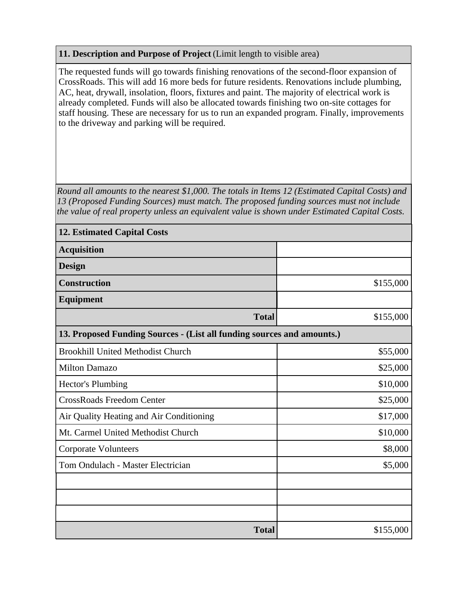## **11. Description and Purpose of Project** (Limit length to visible area)

The requested funds will go towards finishing renovations of the second-floor expansion of CrossRoads. This will add 16 more beds for future residents. Renovations include plumbing, AC, heat, drywall, insolation, floors, fixtures and paint. The majority of electrical work is already completed. Funds will also be allocated towards finishing two on-site cottages for staff housing. These are necessary for us to run an expanded program. Finally, improvements to the driveway and parking will be required.

*Round all amounts to the nearest \$1,000. The totals in Items 12 (Estimated Capital Costs) and 13 (Proposed Funding Sources) must match. The proposed funding sources must not include the value of real property unless an equivalent value is shown under Estimated Capital Costs.*

| <b>12. Estimated Capital Costs</b>                                     |           |  |  |  |  |  |
|------------------------------------------------------------------------|-----------|--|--|--|--|--|
| <b>Acquisition</b>                                                     |           |  |  |  |  |  |
| <b>Design</b>                                                          |           |  |  |  |  |  |
| <b>Construction</b>                                                    | \$155,000 |  |  |  |  |  |
| <b>Equipment</b>                                                       |           |  |  |  |  |  |
| <b>Total</b>                                                           | \$155,000 |  |  |  |  |  |
| 13. Proposed Funding Sources - (List all funding sources and amounts.) |           |  |  |  |  |  |
| <b>Brookhill United Methodist Church</b>                               | \$55,000  |  |  |  |  |  |
| <b>Milton Damazo</b>                                                   | \$25,000  |  |  |  |  |  |
| Hector's Plumbing                                                      | \$10,000  |  |  |  |  |  |
| <b>CrossRoads Freedom Center</b>                                       | \$25,000  |  |  |  |  |  |
| Air Quality Heating and Air Conditioning                               | \$17,000  |  |  |  |  |  |
| Mt. Carmel United Methodist Church                                     | \$10,000  |  |  |  |  |  |
| <b>Corporate Volunteers</b>                                            | \$8,000   |  |  |  |  |  |
| Tom Ondulach - Master Electrician                                      | \$5,000   |  |  |  |  |  |
|                                                                        |           |  |  |  |  |  |
|                                                                        |           |  |  |  |  |  |
|                                                                        |           |  |  |  |  |  |
| <b>Total</b>                                                           | \$155,000 |  |  |  |  |  |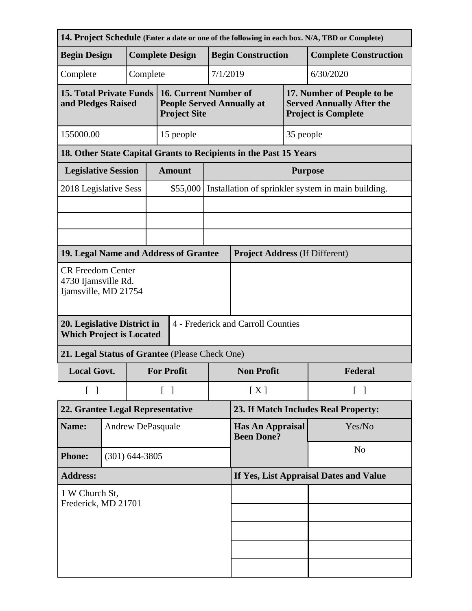| 14. Project Schedule (Enter a date or one of the following in each box. N/A, TBD or Complete)        |                    |                          |                                        |                                                                                  |                                              |                                                                   |           |                                                                                              |  |
|------------------------------------------------------------------------------------------------------|--------------------|--------------------------|----------------------------------------|----------------------------------------------------------------------------------|----------------------------------------------|-------------------------------------------------------------------|-----------|----------------------------------------------------------------------------------------------|--|
| <b>Begin Design</b>                                                                                  |                    | <b>Complete Design</b>   |                                        |                                                                                  |                                              | <b>Begin Construction</b>                                         |           | <b>Complete Construction</b>                                                                 |  |
| Complete                                                                                             |                    |                          | Complete                               |                                                                                  | 7/1/2019                                     |                                                                   |           | 6/30/2020                                                                                    |  |
| <b>15. Total Private Funds</b><br>and Pledges Raised                                                 |                    |                          |                                        | 16. Current Number of<br><b>People Served Annually at</b><br><b>Project Site</b> |                                              |                                                                   |           | 17. Number of People to be<br><b>Served Annually After the</b><br><b>Project is Complete</b> |  |
| 155000.00                                                                                            |                    |                          |                                        | 15 people                                                                        |                                              |                                                                   | 35 people |                                                                                              |  |
|                                                                                                      |                    |                          |                                        |                                                                                  |                                              | 18. Other State Capital Grants to Recipients in the Past 15 Years |           |                                                                                              |  |
| <b>Legislative Session</b>                                                                           |                    |                          |                                        | <b>Amount</b>                                                                    |                                              | <b>Purpose</b>                                                    |           |                                                                                              |  |
| 2018 Legislative Sess                                                                                |                    |                          |                                        | \$55,000                                                                         |                                              | Installation of sprinkler system in main building.                |           |                                                                                              |  |
|                                                                                                      |                    |                          |                                        |                                                                                  |                                              |                                                                   |           |                                                                                              |  |
|                                                                                                      |                    |                          |                                        |                                                                                  |                                              |                                                                   |           |                                                                                              |  |
|                                                                                                      |                    |                          |                                        |                                                                                  |                                              |                                                                   |           |                                                                                              |  |
| 19. Legal Name and Address of Grantee                                                                |                    |                          |                                        |                                                                                  |                                              | <b>Project Address (If Different)</b>                             |           |                                                                                              |  |
| <b>CR Freedom Center</b><br>4730 Ijamsville Rd.<br>Ijamsville, MD 21754                              |                    |                          |                                        |                                                                                  |                                              |                                                                   |           |                                                                                              |  |
| 4 - Frederick and Carroll Counties<br>20. Legislative District in<br><b>Which Project is Located</b> |                    |                          |                                        |                                                                                  |                                              |                                                                   |           |                                                                                              |  |
| 21. Legal Status of Grantee (Please Check One)                                                       |                    |                          |                                        |                                                                                  |                                              |                                                                   |           |                                                                                              |  |
| <b>Local Govt.</b>                                                                                   |                    |                          |                                        | <b>For Profit</b>                                                                | <b>Non Profit</b>                            |                                                                   |           | Federal                                                                                      |  |
| $\begin{bmatrix} 1 \end{bmatrix}$                                                                    |                    |                          | $\begin{bmatrix} 1 \end{bmatrix}$      |                                                                                  | [X]                                          | $\lceil \; \rceil$                                                |           |                                                                                              |  |
| 22. Grantee Legal Representative                                                                     |                    |                          |                                        |                                                                                  | 23. If Match Includes Real Property:         |                                                                   |           |                                                                                              |  |
| Name:                                                                                                |                    | <b>Andrew DePasquale</b> |                                        |                                                                                  | <b>Has An Appraisal</b><br><b>Been Done?</b> |                                                                   | Yes/No    |                                                                                              |  |
| <b>Phone:</b>                                                                                        | $(301) 644 - 3805$ |                          |                                        |                                                                                  |                                              | N <sub>o</sub>                                                    |           |                                                                                              |  |
| <b>Address:</b>                                                                                      |                    |                          | If Yes, List Appraisal Dates and Value |                                                                                  |                                              |                                                                   |           |                                                                                              |  |
| 1 W Church St,<br>Frederick, MD 21701                                                                |                    |                          |                                        |                                                                                  |                                              |                                                                   |           |                                                                                              |  |
|                                                                                                      |                    |                          |                                        |                                                                                  |                                              |                                                                   |           |                                                                                              |  |
|                                                                                                      |                    |                          |                                        |                                                                                  |                                              |                                                                   |           |                                                                                              |  |
|                                                                                                      |                    |                          |                                        |                                                                                  |                                              |                                                                   |           |                                                                                              |  |
|                                                                                                      |                    |                          |                                        |                                                                                  |                                              |                                                                   |           |                                                                                              |  |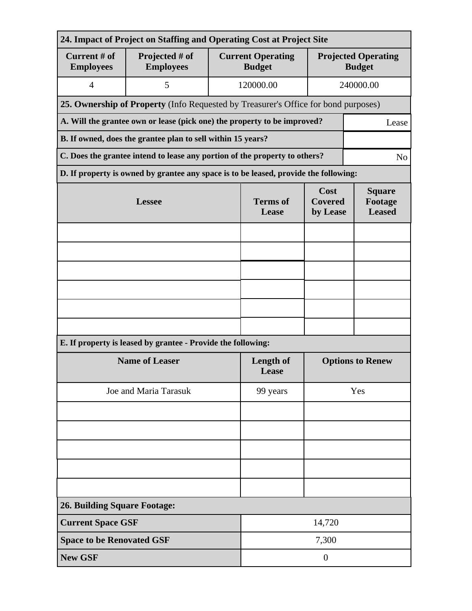| 24. Impact of Project on Staffing and Operating Cost at Project Site |                                                                                      |                           |                                           |                                                       |                                             |  |  |  |
|----------------------------------------------------------------------|--------------------------------------------------------------------------------------|---------------------------|-------------------------------------------|-------------------------------------------------------|---------------------------------------------|--|--|--|
| Current # of<br><b>Employees</b>                                     | Projected # of<br><b>Employees</b>                                                   |                           | <b>Current Operating</b><br><b>Budget</b> |                                                       | <b>Projected Operating</b><br><b>Budget</b> |  |  |  |
| $\overline{4}$                                                       | 5                                                                                    |                           | 120000.00                                 |                                                       | 240000.00                                   |  |  |  |
|                                                                      | 25. Ownership of Property (Info Requested by Treasurer's Office for bond purposes)   |                           |                                           |                                                       |                                             |  |  |  |
|                                                                      | A. Will the grantee own or lease (pick one) the property to be improved?<br>Lease    |                           |                                           |                                                       |                                             |  |  |  |
| B. If owned, does the grantee plan to sell within 15 years?          |                                                                                      |                           |                                           |                                                       |                                             |  |  |  |
|                                                                      | C. Does the grantee intend to lease any portion of the property to others?           |                           |                                           |                                                       | N <sub>o</sub>                              |  |  |  |
|                                                                      | D. If property is owned by grantee any space is to be leased, provide the following: |                           |                                           |                                                       |                                             |  |  |  |
|                                                                      | <b>Lessee</b>                                                                        | <b>Terms</b> of<br>Lease  | Cost<br><b>Covered</b>                    | <b>Square</b><br>Footage<br><b>Leased</b><br>by Lease |                                             |  |  |  |
|                                                                      |                                                                                      |                           |                                           |                                                       |                                             |  |  |  |
|                                                                      |                                                                                      |                           |                                           |                                                       |                                             |  |  |  |
|                                                                      |                                                                                      |                           |                                           |                                                       |                                             |  |  |  |
|                                                                      |                                                                                      |                           |                                           |                                                       |                                             |  |  |  |
|                                                                      |                                                                                      |                           |                                           |                                                       |                                             |  |  |  |
|                                                                      |                                                                                      |                           |                                           |                                                       |                                             |  |  |  |
|                                                                      | E. If property is leased by grantee - Provide the following:                         |                           |                                           |                                                       |                                             |  |  |  |
|                                                                      | <b>Name of Leaser</b>                                                                | <b>Length of</b><br>Lease | <b>Options to Renew</b>                   |                                                       |                                             |  |  |  |
|                                                                      | Joe and Maria Tarasuk                                                                | 99 years                  | Yes                                       |                                                       |                                             |  |  |  |
|                                                                      |                                                                                      |                           |                                           |                                                       |                                             |  |  |  |
|                                                                      |                                                                                      |                           |                                           |                                                       |                                             |  |  |  |
|                                                                      |                                                                                      |                           |                                           |                                                       |                                             |  |  |  |
|                                                                      |                                                                                      |                           |                                           |                                                       |                                             |  |  |  |
|                                                                      |                                                                                      |                           |                                           |                                                       |                                             |  |  |  |
| <b>26. Building Square Footage:</b>                                  |                                                                                      |                           |                                           |                                                       |                                             |  |  |  |
| <b>Current Space GSF</b>                                             |                                                                                      |                           | 14,720                                    |                                                       |                                             |  |  |  |
| <b>Space to be Renovated GSF</b>                                     |                                                                                      |                           | 7,300                                     |                                                       |                                             |  |  |  |
| <b>New GSF</b>                                                       |                                                                                      |                           | $\overline{0}$                            |                                                       |                                             |  |  |  |